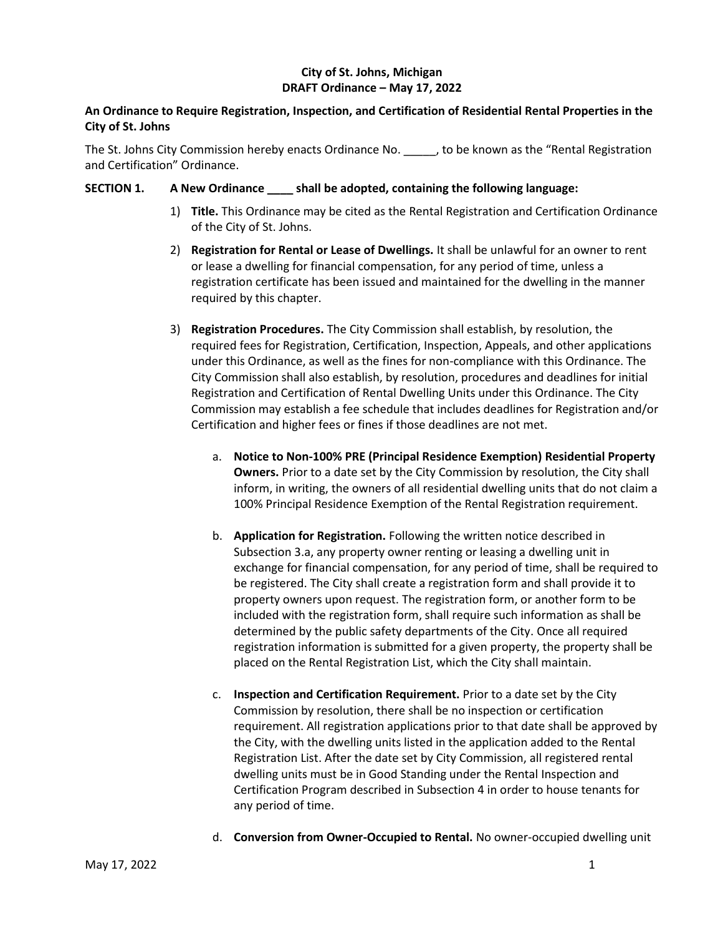# **City of St. Johns, Michigan DRAFT Ordinance – May 17, 2022**

# **An Ordinance to Require Registration, Inspection, and Certification of Residential Rental Properties in the City of St. Johns**

The St. Johns City Commission hereby enacts Ordinance No. \_\_\_\_\_, to be known as the "Rental Registration and Certification" Ordinance.

## **SECTION 1. A New Ordinance \_\_\_\_ shall be adopted, containing the following language:**

- 1) **Title.** This Ordinance may be cited as the Rental Registration and Certification Ordinance of the City of St. Johns.
- 2) **Registration for Rental or Lease of Dwellings.** It shall be unlawful for an owner to rent or lease a dwelling for financial compensation, for any period of time, unless a registration certificate has been issued and maintained for the dwelling in the manner required by this chapter.
- 3) **Registration Procedures.** The City Commission shall establish, by resolution, the required fees for Registration, Certification, Inspection, Appeals, and other applications under this Ordinance, as well as the fines for non-compliance with this Ordinance. The City Commission shall also establish, by resolution, procedures and deadlines for initial Registration and Certification of Rental Dwelling Units under this Ordinance. The City Commission may establish a fee schedule that includes deadlines for Registration and/or Certification and higher fees or fines if those deadlines are not met.
	- a. **Notice to Non-100% PRE (Principal Residence Exemption) Residential Property Owners.** Prior to a date set by the City Commission by resolution, the City shall inform, in writing, the owners of all residential dwelling units that do not claim a 100% Principal Residence Exemption of the Rental Registration requirement.
	- b. **Application for Registration.** Following the written notice described in Subsection 3.a, any property owner renting or leasing a dwelling unit in exchange for financial compensation, for any period of time, shall be required to be registered. The City shall create a registration form and shall provide it to property owners upon request. The registration form, or another form to be included with the registration form, shall require such information as shall be determined by the public safety departments of the City. Once all required registration information is submitted for a given property, the property shall be placed on the Rental Registration List, which the City shall maintain.
	- c. **Inspection and Certification Requirement.** Prior to a date set by the City Commission by resolution, there shall be no inspection or certification requirement. All registration applications prior to that date shall be approved by the City, with the dwelling units listed in the application added to the Rental Registration List. After the date set by City Commission, all registered rental dwelling units must be in Good Standing under the Rental Inspection and Certification Program described in Subsection 4 in order to house tenants for any period of time.
	- d. **Conversion from Owner-Occupied to Rental.** No owner-occupied dwelling unit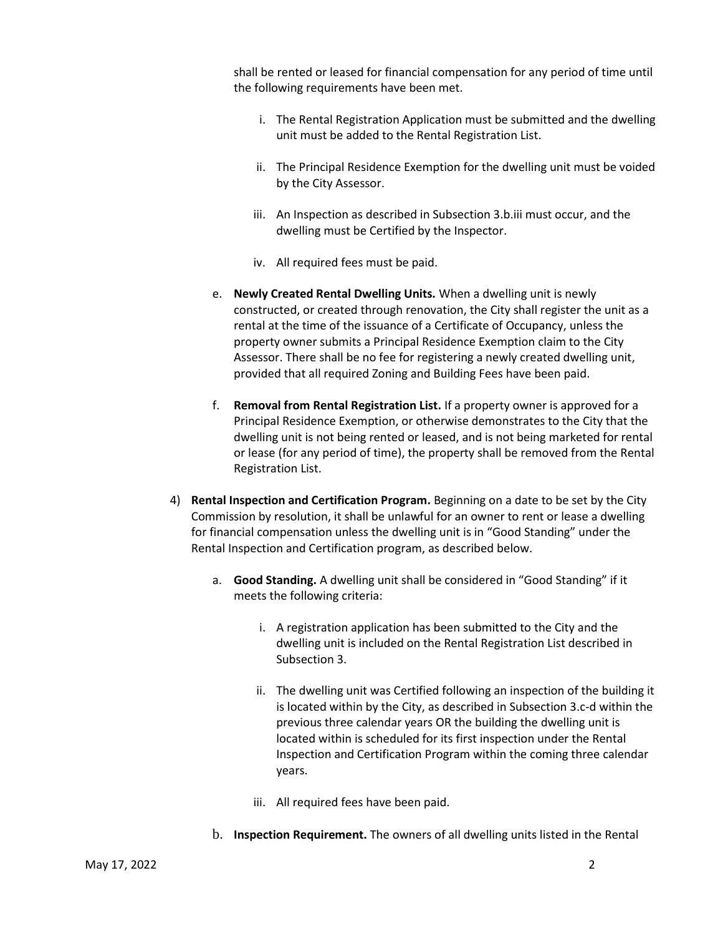shall be rented or leased for financial compensation for any period of time until the following requirements have been met.

- i. The Rental Registration Application must be submitted and the dwelling unit must be added to the Rental Registration List.
- ii. The Principal Residence Exemption for the dwelling unit must be voided by the City Assessor.
- iii. An Inspection as described in Subsection 3.b.iii must occur, and the dwelling must be Certified by the Inspector.
- iv. All required fees must be paid.
- e. **Newly Created Rental Dwelling Units.** When a dwelling unit is newly constructed, or created through renovation, the City shall register the unit as a rental at the time of the issuance of a Certificate of Occupancy, unless the property owner submits a Principal Residence Exemption claim to the City Assessor. There shall be no fee for registering a newly created dwelling unit, provided that all required Zoning and Building Fees have been paid.
- f. **Removal from Rental Registration List.** If a property owner is approved for a Principal Residence Exemption, or otherwise demonstrates to the City that the dwelling unit is not being rented or leased, and is not being marketed for rental or lease (for any period of time), the property shall be removed from the Rental Registration List.
- 4) **Rental Inspection and Certification Program.** Beginning on a date to be set by the City Commission by resolution, it shall be unlawful for an owner to rent or lease a dwelling for financial compensation unless the dwelling unit is in "Good Standing" under the Rental Inspection and Certification program, as described below.
	- a. **Good Standing.** A dwelling unit shall be considered in "Good Standing" if it meets the following criteria:
		- i. A registration application has been submitted to the City and the dwelling unit is included on the Rental Registration List described in Subsection 3.
		- ii. The dwelling unit was Certified following an inspection of the building it is located within by the City, as described in Subsection 3.c-d within the previous three calendar years OR the building the dwelling unit is located within is scheduled for its first inspection under the Rental Inspection and Certification Program within the coming three calendar years.
		- iii. All required fees have been paid.
	- b. **Inspection Requirement.** The owners of all dwelling units listed in the Rental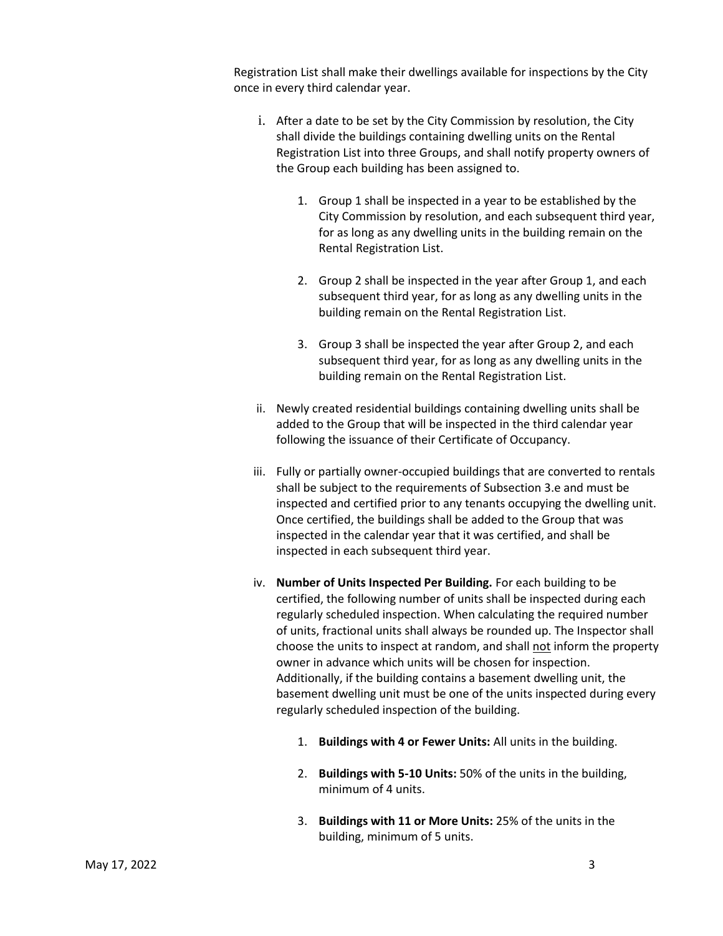Registration List shall make their dwellings available for inspections by the City once in every third calendar year.

- i. After a date to be set by the City Commission by resolution, the City shall divide the buildings containing dwelling units on the Rental Registration List into three Groups, and shall notify property owners of the Group each building has been assigned to.
	- 1. Group 1 shall be inspected in a year to be established by the City Commission by resolution, and each subsequent third year, for as long as any dwelling units in the building remain on the Rental Registration List.
	- 2. Group 2 shall be inspected in the year after Group 1, and each subsequent third year, for as long as any dwelling units in the building remain on the Rental Registration List.
	- 3. Group 3 shall be inspected the year after Group 2, and each subsequent third year, for as long as any dwelling units in the building remain on the Rental Registration List.
- ii. Newly created residential buildings containing dwelling units shall be added to the Group that will be inspected in the third calendar year following the issuance of their Certificate of Occupancy.
- iii. Fully or partially owner-occupied buildings that are converted to rentals shall be subject to the requirements of Subsection 3.e and must be inspected and certified prior to any tenants occupying the dwelling unit. Once certified, the buildings shall be added to the Group that was inspected in the calendar year that it was certified, and shall be inspected in each subsequent third year.
- iv. **Number of Units Inspected Per Building.** For each building to be certified, the following number of units shall be inspected during each regularly scheduled inspection. When calculating the required number of units, fractional units shall always be rounded up. The Inspector shall choose the units to inspect at random, and shall not inform the property owner in advance which units will be chosen for inspection. Additionally, if the building contains a basement dwelling unit, the basement dwelling unit must be one of the units inspected during every regularly scheduled inspection of the building.
	- 1. **Buildings with 4 or Fewer Units:** All units in the building.
	- 2. **Buildings with 5-10 Units:** 50% of the units in the building, minimum of 4 units.
	- 3. **Buildings with 11 or More Units:** 25% of the units in the building, minimum of 5 units.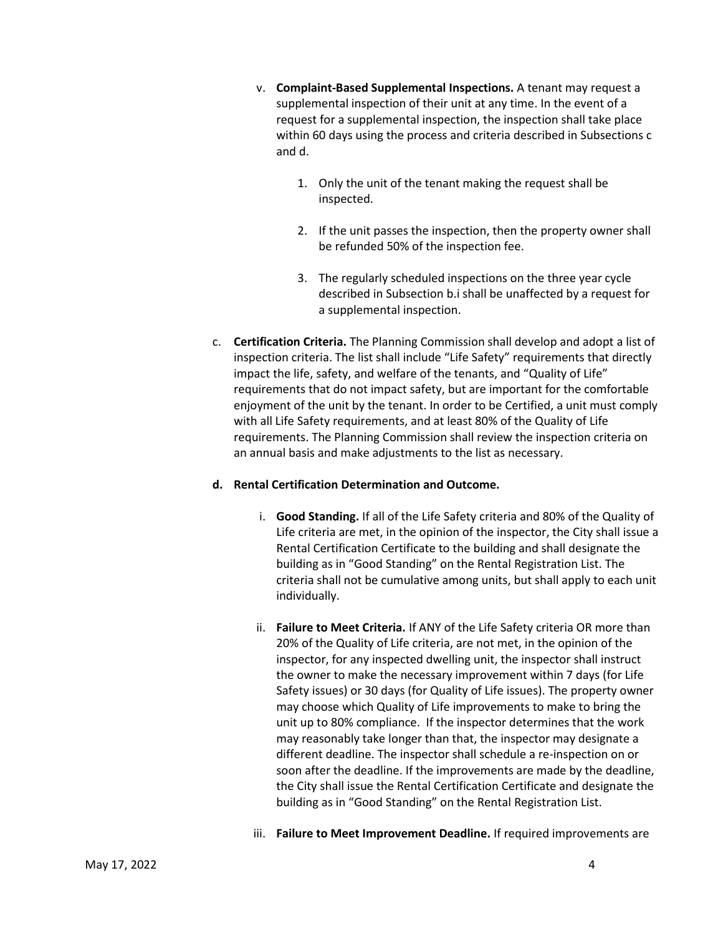- v. **Complaint-Based Supplemental Inspections.** A tenant may request a supplemental inspection of their unit at any time. In the event of a request for a supplemental inspection, the inspection shall take place within 60 days using the process and criteria described in Subsections c and d.
	- 1. Only the unit of the tenant making the request shall be inspected.
	- 2. If the unit passes the inspection, then the property owner shall be refunded 50% of the inspection fee.
	- 3. The regularly scheduled inspections on the three year cycle described in Subsection b.i shall be unaffected by a request for a supplemental inspection.
- c. **Certification Criteria.** The Planning Commission shall develop and adopt a list of inspection criteria. The list shall include "Life Safety" requirements that directly impact the life, safety, and welfare of the tenants, and "Quality of Life" requirements that do not impact safety, but are important for the comfortable enjoyment of the unit by the tenant. In order to be Certified, a unit must comply with all Life Safety requirements, and at least 80% of the Quality of Life requirements. The Planning Commission shall review the inspection criteria on an annual basis and make adjustments to the list as necessary.

## **d. Rental Certification Determination and Outcome.**

- i. **Good Standing.** If all of the Life Safety criteria and 80% of the Quality of Life criteria are met, in the opinion of the inspector, the City shall issue a Rental Certification Certificate to the building and shall designate the building as in "Good Standing" on the Rental Registration List. The criteria shall not be cumulative among units, but shall apply to each unit individually.
- ii. **Failure to Meet Criteria.** If ANY of the Life Safety criteria OR more than 20% of the Quality of Life criteria, are not met, in the opinion of the inspector, for any inspected dwelling unit, the inspector shall instruct the owner to make the necessary improvement within 7 days (for Life Safety issues) or 30 days (for Quality of Life issues). The property owner may choose which Quality of Life improvements to make to bring the unit up to 80% compliance. If the inspector determines that the work may reasonably take longer than that, the inspector may designate a different deadline. The inspector shall schedule a re-inspection on or soon after the deadline. If the improvements are made by the deadline, the City shall issue the Rental Certification Certificate and designate the building as in "Good Standing" on the Rental Registration List.
- iii. **Failure to Meet Improvement Deadline.** If required improvements are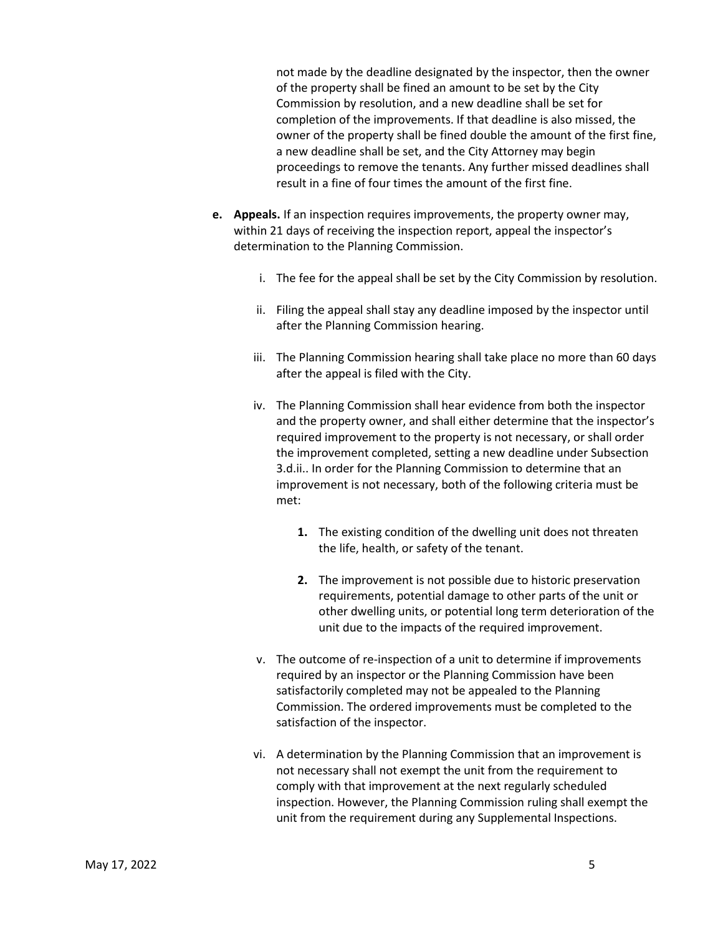not made by the deadline designated by the inspector, then the owner of the property shall be fined an amount to be set by the City Commission by resolution, and a new deadline shall be set for completion of the improvements. If that deadline is also missed, the owner of the property shall be fined double the amount of the first fine, a new deadline shall be set, and the City Attorney may begin proceedings to remove the tenants. Any further missed deadlines shall result in a fine of four times the amount of the first fine.

- **e. Appeals.** If an inspection requires improvements, the property owner may, within 21 days of receiving the inspection report, appeal the inspector's determination to the Planning Commission.
	- i. The fee for the appeal shall be set by the City Commission by resolution.
	- ii. Filing the appeal shall stay any deadline imposed by the inspector until after the Planning Commission hearing.
	- iii. The Planning Commission hearing shall take place no more than 60 days after the appeal is filed with the City.
	- iv. The Planning Commission shall hear evidence from both the inspector and the property owner, and shall either determine that the inspector's required improvement to the property is not necessary, or shall order the improvement completed, setting a new deadline under Subsection 3.d.ii.. In order for the Planning Commission to determine that an improvement is not necessary, both of the following criteria must be met:
		- **1.** The existing condition of the dwelling unit does not threaten the life, health, or safety of the tenant.
		- **2.** The improvement is not possible due to historic preservation requirements, potential damage to other parts of the unit or other dwelling units, or potential long term deterioration of the unit due to the impacts of the required improvement.
	- v. The outcome of re-inspection of a unit to determine if improvements required by an inspector or the Planning Commission have been satisfactorily completed may not be appealed to the Planning Commission. The ordered improvements must be completed to the satisfaction of the inspector.
	- vi. A determination by the Planning Commission that an improvement is not necessary shall not exempt the unit from the requirement to comply with that improvement at the next regularly scheduled inspection. However, the Planning Commission ruling shall exempt the unit from the requirement during any Supplemental Inspections.